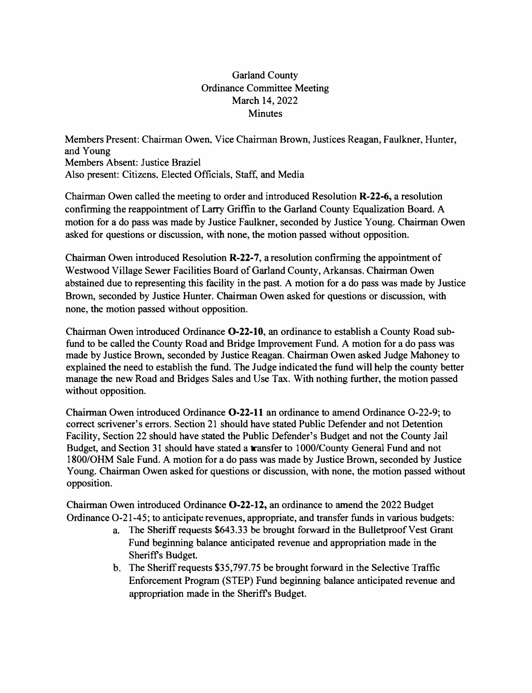## Garland County Ordinance Committee Meeting March 14, 2022 **Minutes**

Members Present: Chairman Owen, Vice Chairman Brown, Justices Reagan, Faulkner, Hunter, and Young Members Absent: Justice Braziel Also present: Citizens, Elected Officials, Staff, and Media

Chairman Owen called the meeting to order and introduced Resolution **R-22-6,** a resolution confirming the reappointment of Larry Griffin to the Garland County Equalization Board. A motion for a do pass was made by Justice Faulkner, seconded by Justice Young. Chairman Owen asked for questions or discussion, with none, the motion passed without opposition.

Chairman Owen introduced Resolution **R-22-7,** a resolution confirming the appointment of Westwood Village Sewer Facilities Board of Garland County, Arkansas. Chairman Owen abstained due to representing this facility in the past. A motion for a do pass was made by Justice Brown, seconded by Justice Hunter. Chairman Owen asked for questions or discussion, with none, the motion passed without opposition.

Chairman Owen introduced Ordinance **0-22-10,** an ordinance to establish a County Road subfund to be called the County Road and Bridge Improvement Fund. A motion for a do pass was made by Justice Brown, seconded by Justice Reagan. Chairman Owen asked Judge Mahoney to explained the need to establish the fund. The Judge indicated the fund will help the county better manage the new Road and Bridges Sales and Use Tax. With nothing further, the motion passed without opposition.

Chairman Owen introduced Ordinance **0-22-11** an ordinance to amend Ordinance 0-22-9; to correct scrivener's errors. Section 21 should have stated Public Defender and not Detention Facility, Section 22 should have stated the Public Defender's Budget and not the County Jail Budget, and Section 31 should have stated a transfer to 1000/County General Fund and not 1800/OHM Sale Fund. A motion for a do pass was made by Justice Brown, seconded by Justice Young. Chairman Owen asked for questions or discussion, with none, the motion passed without opposition.

Chairman Owen introduced Ordinance **0-22-12,** an ordinance to amend the 2022 Budget Ordinance 0-21-45; to anticipate revenues, appropriate, and transfer funds in various budgets:

- a. The Sheriff requests \$643.33 be brought forward in the Bulletproof Vest Grant Fund beginning balance anticipated revenue and appropriation made in the Sheriffs Budget.
- b. The Sheriff requests \$35,797.75 be brought forward in the Selective Traffic Enforcement Program (STEP) Fund beginning balance anticipated revenue and appropriation made in the Sheriffs Budget.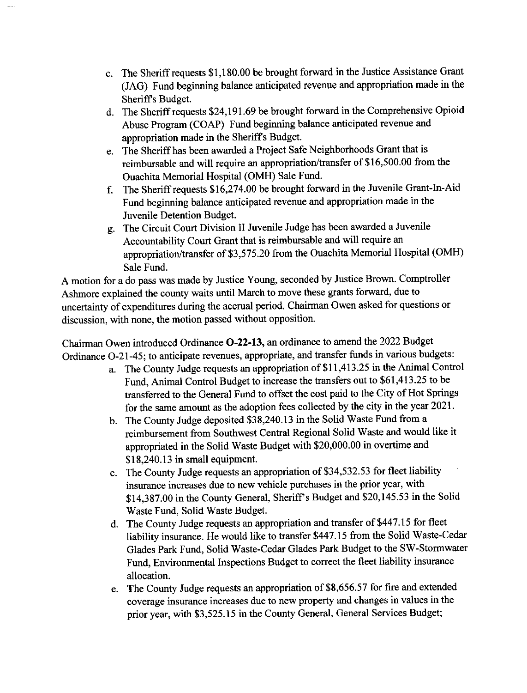- c. The Sheriff requests \$1,180.00 be brought forward in the Justice Assistance Grant (JAG) Fund beginning balance anticipated revenue and appropriation made in the Sheriff's Budget.
- d. The Sheriff requests \$24,191.69 be brought forward in the Comprehensive Opioid Abuse Program (COAP) Fund beginning balance anticipated revenue and appropriation made in the Sheriff's Budget.
- e. The Sheriff has been awarded a Project Safe Neighborhoods Grant that is reimbursable and will require an appropriation/transfer of \$16,500.00 from the Ouachita Memorial Hospital (OMH) Sale Fund.
- f. The Sheriff requests \$16,274.00 be brought forward in the Juvenile Grant-In-Aid Fund beginning balance anticipated revenue and appropriation made in the Juvenile Detention Budget.
- g. The Circuit Court Division II Juvenile Judge has been awarded a Juvenile Accountability Court Grant that is reimbursable and will require an appropriation/transfer of \$3,575.20 from the Ouachita Memorial Hospital (OMH) Sale Fund.

A motion for a do pass was made by Justice Young, seconded by Justice Brown. Comptroller Ashmore explained the county waits until March to move these grants forward, due to uncertainty of expenditures during the accrual period. Chairman Owen asked for questions or discussion, with none, the motion passed without opposition.

Chairman Owen introduced Ordinance O-22-13, an ordinance to amend the 2022 Budget Ordinance O-21-45; to anticipate revenues, appropriate, and transfer funds in various budgets:

- a. The County Judge requests an appropriation of \$11,413.25 in the Animal Control Fund, Animal Control Budget to increase the transfers out to \$61,413.25 to be transferred to the General Fund to offset the cost paid to the City of Hot Springs for the same amount as the adoption fees collected by the city in the year 2021.
- b. The County Judge deposited \$38,240.13 in the Solid Waste Fund from a reimbursement from Southwest Central Regional Solid Waste and would like it appropriated in the Solid Waste Budget with \$20,000.00 in overtime and  $$18,240.13$  in small equipment.
- c. The County Judge requests an appropriation of \$34,532.53 for fleet liability insurance increases due to new vehicle purchases in the prior year, with \$14,387.00 in the County General, Sheriff's Budget and \$20,145.53 in the Solid Waste Fund, Solid Waste Budget.
- d. The County Judge requests an appropriation and transfer of \$447.15 for fleet liability insurance. He would like to transfer \$447.15 from the Solid Waste-Cedar Glades Park Fund, Solid Waste-Cedar Glades Park Budget to the SW-Stormwater Fund, Environmental Inspections Budget to correct the fleet liability insurance allocation.
- e. The County Judge requests an appropriation of \$8,656.57 for fire and extended coverage insurance increases due to new property and changes in values in the prior year, with \$3,525.15 in the County General, General Services Budget;